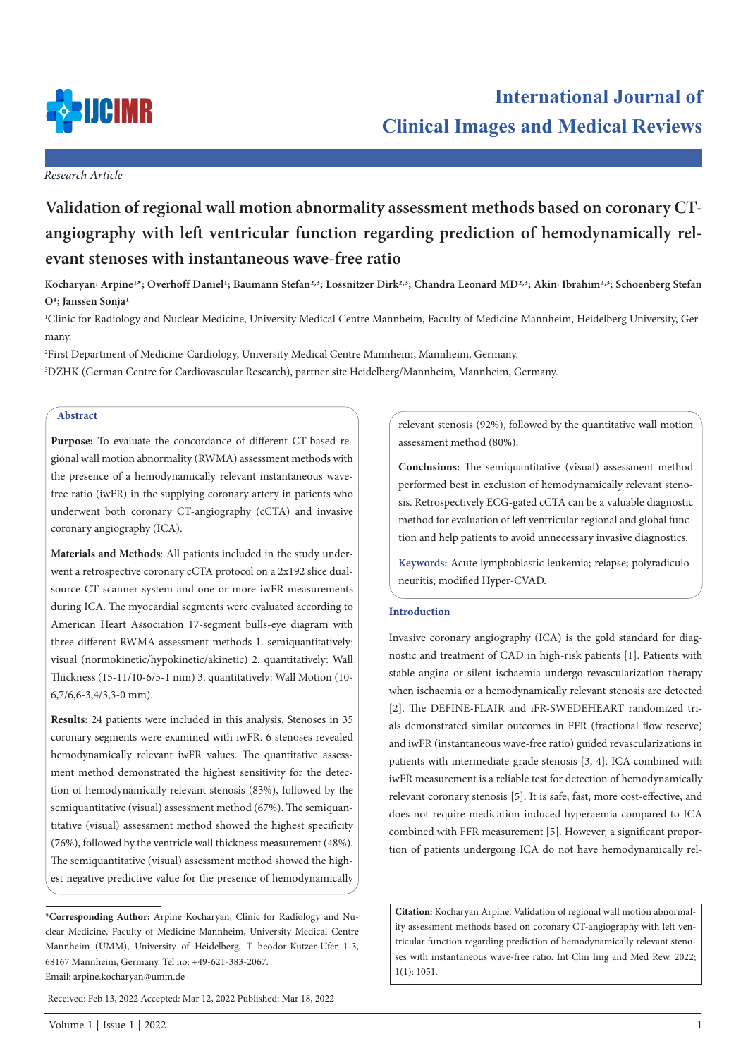

## *Research Article*

# **Validation of regional wall motion abnormality assessment methods based on coronary CTangiography with left ventricular function regarding prediction of hemodynamically relevant stenoses with instantaneous wave-free ratio**

Kocharyan<sup>,</sup> Arpine<sup>1\*</sup>; Overhoff Daniel<sup>1</sup>; Baumann Stefan<sup>2,3</sup>; Lossnitzer Dirk<sup>2,3</sup>; Chandra Leonard MD<sup>2,3</sup>; Akin<sup>,</sup> Ibrahim<sup>2,3</sup>; Schoenberg Stefan **O1; Janssen Sonja1**

1 Clinic for Radiology and Nuclear Medicine, University Medical Centre Mannheim, Faculty of Medicine Mannheim, Heidelberg University, Germany.

2 First Department of Medicine-Cardiology, University Medical Centre Mannheim, Mannheim, Germany.

3 DZHK (German Centre for Cardiovascular Research), partner site Heidelberg/Mannheim, Mannheim, Germany.

# **Abstract**

**Purpose:** To evaluate the concordance of different CT-based regional wall motion abnormality (RWMA) assessment methods with the presence of a hemodynamically relevant instantaneous wavefree ratio (iwFR) in the supplying coronary artery in patients who underwent both coronary CT-angiography (cCTA) and invasive coronary angiography (ICA).

**Materials and Methods**: All patients included in the study underwent a retrospective coronary cCTA protocol on a 2x192 slice dualsource-CT scanner system and one or more iwFR measurements during ICA. The myocardial segments were evaluated according to American Heart Association 17-segment bulls-eye diagram with three different RWMA assessment methods 1. semiquantitatively: visual (normokinetic/hypokinetic/akinetic) 2. quantitatively: Wall Thickness (15-11/10-6/5-1 mm) 3. quantitatively: Wall Motion (10- 6,7/6,6-3,4/3,3-0 mm).

**Results:** 24 patients were included in this analysis. Stenoses in 35 coronary segments were examined with iwFR. 6 stenoses revealed hemodynamically relevant iwFR values. The quantitative assessment method demonstrated the highest sensitivity for the detection of hemodynamically relevant stenosis (83%), followed by the semiquantitative (visual) assessment method (67%). The semiquantitative (visual) assessment method showed the highest specificity (76%), followed by the ventricle wall thickness measurement (48%). The semiquantitative (visual) assessment method showed the highest negative predictive value for the presence of hemodynamically

tion and help patients to avoid unnecessary invasive diagnostics.

assessment method (80%).

**Keywords:** Acute lymphoblastic leukemia; relapse; polyradiculoneuritis; modified Hyper-CVAD.

relevant stenosis (92%), followed by the quantitative wall motion

**Conclusions:** The semiquantitative (visual) assessment method performed best in exclusion of hemodynamically relevant stenosis. Retrospectively ECG-gated cCTA can be a valuable diagnostic method for evaluation of left ventricular regional and global func-

# **Introduction**

Invasive coronary angiography (ICA) is the gold standard for diagnostic and treatment of CAD in high-risk patients [1]. Patients with stable angina or silent ischaemia undergo revascularization therapy when ischaemia or a hemodynamically relevant stenosis are detected [2]. The DEFINE-FLAIR and iFR-SWEDEHEART randomized trials demonstrated similar outcomes in FFR (fractional flow reserve) and iwFR (instantaneous wave-free ratio) guided revascularizations in patients with intermediate-grade stenosis [3, 4]. ICA combined with iwFR measurement is a reliable test for detection of hemodynamically relevant coronary stenosis [5]. It is safe, fast, more cost-effective, and does not require medication-induced hyperaemia compared to ICA combined with FFR measurement [5]. However, a significant proportion of patients undergoing ICA do not have hemodynamically rel-

**Citation:** Kocharyan Arpine. Validation of regional wall motion abnormality assessment methods based on coronary CT-angiography with left ventricular function regarding prediction of hemodynamically relevant stenoses with instantaneous wave-free ratio. Int Clin Img and Med Rew. 2022; 1(1): 1051.

**<sup>\*</sup>Corresponding Author:** Arpine Kocharyan, Clinic for Radiology and Nuclear Medicine, Faculty of Medicine Mannheim, University Medical Centre Mannheim (UMM), University of Heidelberg, T heodor-Kutzer-Ufer 1-3, 68167 Mannheim, Germany. Tel no: +49-621-383-2067. Email: arpine.kocharyan@umm.de

Received: Feb 13, 2022 Accepted: Mar 12, 2022 Published: Mar 18, 2022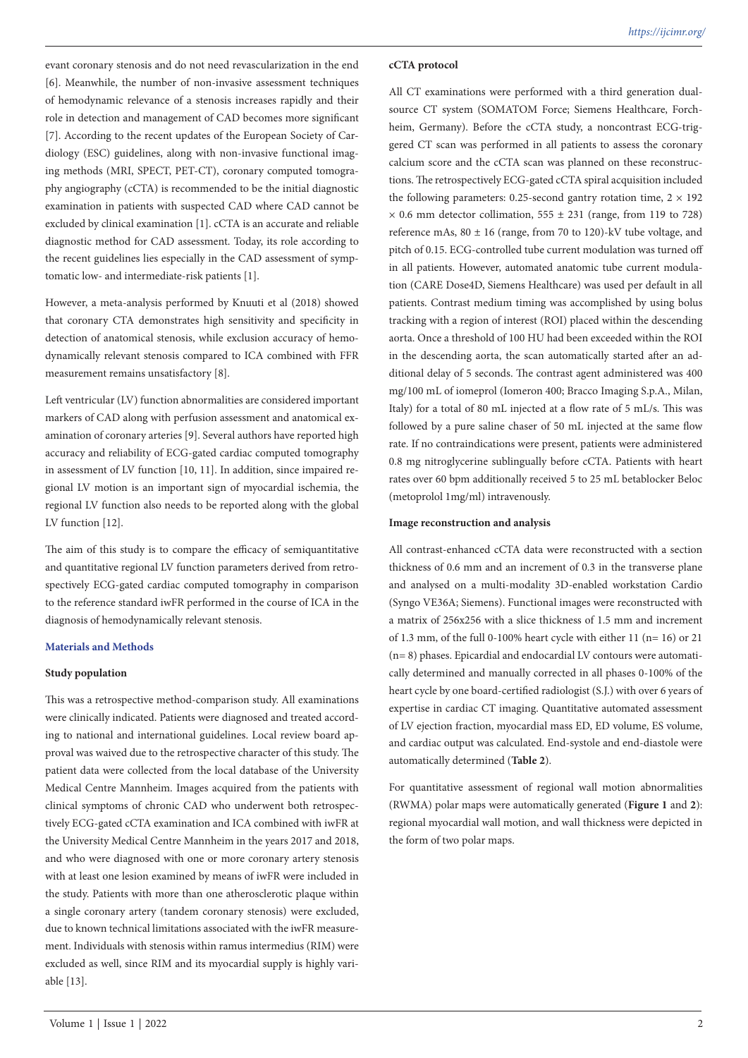evant coronary stenosis and do not need revascularization in the end [6]. Meanwhile, the number of non-invasive assessment techniques of hemodynamic relevance of a stenosis increases rapidly and their role in detection and management of CAD becomes more significant [7]. According to the recent updates of the European Society of Cardiology (ESC) guidelines, along with non-invasive functional imaging methods (MRI, SPECT, PET-CT), coronary computed tomography angiography (cCTA) is recommended to be the initial diagnostic examination in patients with suspected CAD where CAD cannot be excluded by clinical examination [1]. cCTA is an accurate and reliable diagnostic method for CAD assessment. Today, its role according to the recent guidelines lies especially in the CAD assessment of symptomatic low- and intermediate-risk patients [1].

However, a meta-analysis performed by Knuuti et al (2018) showed that coronary CTA demonstrates high sensitivity and specificity in detection of anatomical stenosis, while exclusion accuracy of hemodynamically relevant stenosis compared to ICA combined with FFR measurement remains unsatisfactory [8].

Left ventricular (LV) function abnormalities are considered important markers of CAD along with perfusion assessment and anatomical examination of coronary arteries [9]. Several authors have reported high accuracy and reliability of ECG-gated cardiac computed tomography in assessment of LV function [10, 11]. In addition, since impaired regional LV motion is an important sign of myocardial ischemia, the regional LV function also needs to be reported along with the global LV function [12].

The aim of this study is to compare the efficacy of semiquantitative and quantitative regional LV function parameters derived from retrospectively ECG-gated cardiac computed tomography in comparison to the reference standard iwFR performed in the course of ICA in the diagnosis of hemodynamically relevant stenosis.

## **Materials and Methods**

#### **Study population**

This was a retrospective method-comparison study. All examinations were clinically indicated. Patients were diagnosed and treated according to national and international guidelines. Local review board approval was waived due to the retrospective character of this study. The patient data were collected from the local database of the University Medical Centre Mannheim. Images acquired from the patients with clinical symptoms of chronic CAD who underwent both retrospectively ECG-gated cCTA examination and ICA combined with iwFR at the University Medical Centre Mannheim in the years 2017 and 2018, and who were diagnosed with one or more coronary artery stenosis with at least one lesion examined by means of iwFR were included in the study. Patients with more than one atherosclerotic plaque within a single coronary artery (tandem coronary stenosis) were excluded, due to known technical limitations associated with the iwFR measurement. Individuals with stenosis within ramus intermedius (RIM) were excluded as well, since RIM and its myocardial supply is highly variable [13].

#### **cCTA protocol**

All CT examinations were performed with a third generation dualsource CT system (SOMATOM Force; Siemens Healthcare, Forchheim, Germany). Before the cCTA study, a noncontrast ECG-triggered CT scan was performed in all patients to assess the coronary calcium score and the cCTA scan was planned on these reconstructions. The retrospectively ECG-gated cCTA spiral acquisition included the following parameters: 0.25-second gantry rotation time,  $2 \times 192$  $\times$  0.6 mm detector collimation, 555  $\pm$  231 (range, from 119 to 728) reference mAs,  $80 \pm 16$  (range, from 70 to 120)-kV tube voltage, and pitch of 0.15. ECG-controlled tube current modulation was turned off in all patients. However, automated anatomic tube current modulation (CARE Dose4D, Siemens Healthcare) was used per default in all patients. Contrast medium timing was accomplished by using bolus tracking with a region of interest (ROI) placed within the descending aorta. Once a threshold of 100 HU had been exceeded within the ROI in the descending aorta, the scan automatically started after an additional delay of 5 seconds. The contrast agent administered was 400 mg/100 mL of iomeprol (Iomeron 400; Bracco Imaging S.p.A., Milan, Italy) for a total of 80 mL injected at a flow rate of 5 mL/s. This was followed by a pure saline chaser of 50 mL injected at the same flow rate. If no contraindications were present, patients were administered 0.8 mg nitroglycerine sublingually before cCTA. Patients with heart rates over 60 bpm additionally received 5 to 25 mL betablocker Beloc (metoprolol 1mg/ml) intravenously.

#### **Image reconstruction and analysis**

All contrast-enhanced cCTA data were reconstructed with a section thickness of 0.6 mm and an increment of 0.3 in the transverse plane and analysed on a multi-modality 3D-enabled workstation Cardio (Syngo VE36A; Siemens). Functional images were reconstructed with a matrix of 256x256 with a slice thickness of 1.5 mm and increment of 1.3 mm, of the full 0-100% heart cycle with either 11 (n= 16) or 21 (n= 8) phases. Epicardial and endocardial LV contours were automatically determined and manually corrected in all phases 0-100% of the heart cycle by one board-certified radiologist (S.J.) with over 6 years of expertise in cardiac CT imaging. Quantitative automated assessment of LV ejection fraction, myocardial mass ED, ED volume, ES volume, and cardiac output was calculated. End-systole and end-diastole were automatically determined (**Table 2**).

For quantitative assessment of regional wall motion abnormalities (RWMA) polar maps were automatically generated (**Figure 1** and **2**): regional myocardial wall motion, and wall thickness were depicted in the form of two polar maps.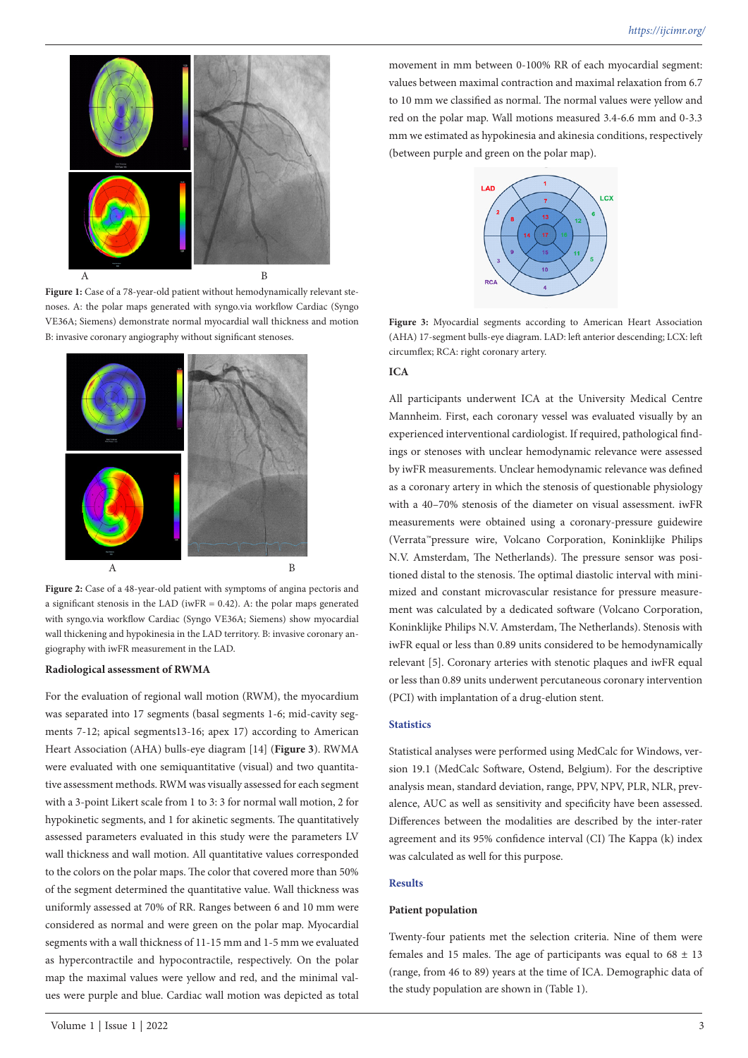

Figure 1: Case of a 78-year-old patient without hemodynamically relevant stenoses. A: the polar maps generated with syngo.via workflow Cardiac (Syngo VE36A; Siemens) demonstrate normal myocardial wall thickness and motion B: invasive coronary angiography without significant stenoses.



**Figure 2:** Case of a 48-year-old patient with symptoms of angina pectoris and a significant stenosis in the LAD (iwFR  $= 0.42$ ). A: the polar maps generated with syngo.via workflow Cardiac (Syngo VE36A; Siemens) show myocardial wall thickening and hypokinesia in the LAD territory. B: invasive coronary angiography with iwFR measurement in the LAD.

#### **Radiological assessment of RWMA**

For the evaluation of regional wall motion (RWM), the myocardium was separated into 17 segments (basal segments 1-6; mid-cavity segments 7-12; apical segments13-16; apex 17) according to American Heart Association (AHA) bulls-eye diagram [14] (**Figure 3**). RWMA were evaluated with one semiquantitative (visual) and two quantitative assessment methods. RWM was visually assessed for each segment with a 3-point Likert scale from 1 to 3: 3 for normal wall motion, 2 for hypokinetic segments, and 1 for akinetic segments. The quantitatively assessed parameters evaluated in this study were the parameters LV wall thickness and wall motion. All quantitative values corresponded to the colors on the polar maps. The color that covered more than 50% of the segment determined the quantitative value. Wall thickness was uniformly assessed at 70% of RR. Ranges between 6 and 10 mm were considered as normal and were green on the polar map. Myocardial segments with a wall thickness of 11-15 mm and 1-5 mm we evaluated as hypercontractile and hypocontractile, respectively. On the polar map the maximal values were yellow and red, and the minimal values were purple and blue. Cardiac wall motion was depicted as total

movement in mm between 0-100% RR of each myocardial segment: values between maximal contraction and maximal relaxation from 6.7 to 10 mm we classified as normal. The normal values were yellow and red on the polar map. Wall motions measured 3.4-6.6 mm and 0-3.3 mm we estimated as hypokinesia and akinesia conditions, respectively (between purple and green on the polar map).



**Figure 3:** Myocardial segments according to American Heart Association (AHA) 17-segment bulls-eye diagram. LAD: left anterior descending; LCX: left circumflex; RCA: right coronary artery.

#### **ICA**

All participants underwent ICA at the University Medical Centre Mannheim. First, each coronary vessel was evaluated visually by an experienced interventional cardiologist. If required, pathological findings or stenoses with unclear hemodynamic relevance were assessed by iwFR measurements. Unclear hemodynamic relevance was defined as a coronary artery in which the stenosis of questionable physiology with a 40–70% stenosis of the diameter on visual assessment. iwFR measurements were obtained using a coronary-pressure guidewire (Verrata™pressure wire, Volcano Corporation, Koninklijke Philips N.V. Amsterdam, The Netherlands). The pressure sensor was positioned distal to the stenosis. The optimal diastolic interval with minimized and constant microvascular resistance for pressure measurement was calculated by a dedicated software (Volcano Corporation, Koninklijke Philips N.V. Amsterdam, The Netherlands). Stenosis with iwFR equal or less than 0.89 units considered to be hemodynamically relevant [5]. Coronary arteries with stenotic plaques and iwFR equal or less than 0.89 units underwent percutaneous coronary intervention (PCI) with implantation of a drug-elution stent.

# **Statistics**

Statistical analyses were performed using MedCalc for Windows, version 19.1 (MedCalc Software, Ostend, Belgium). For the descriptive analysis mean, standard deviation, range, PPV, NPV, PLR, NLR, prevalence, AUC as well as sensitivity and specificity have been assessed. Differences between the modalities are described by the inter-rater agreement and its 95% confidence interval (CI) The Kappa (k) index was calculated as well for this purpose.

#### **Results**

#### **Patient population**

Twenty-four patients met the selection criteria. Nine of them were females and 15 males. The age of participants was equal to  $68 \pm 13$ (range, from 46 to 89) years at the time of ICA. Demographic data of the study population are shown in (Table 1).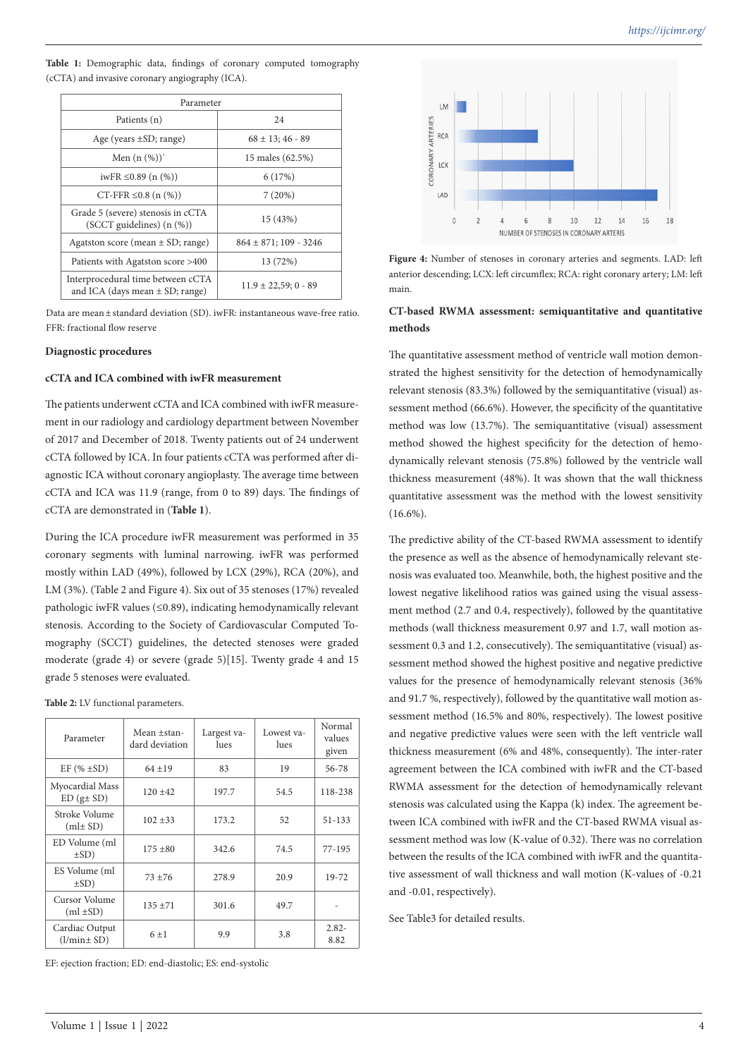**Table 1:** Demographic data, findings of coronary computed tomography (cCTA) and invasive coronary angiography (ICA).

| Parameter                                                                |                            |  |  |  |  |
|--------------------------------------------------------------------------|----------------------------|--|--|--|--|
| Patients (n)                                                             | 24                         |  |  |  |  |
| Age (years $\pm SD$ ; range)                                             | $68 \pm 13$ ; 46 - 89      |  |  |  |  |
| Men $(n \ (\%))'$                                                        | 15 males (62.5%)           |  |  |  |  |
| iwFR ≤0.89 (n $(\%)$ )                                                   | 6(17%)                     |  |  |  |  |
| $CT$ -FFR $\leq 0.8$ (n $(\%)$ )                                         | 7(20%)                     |  |  |  |  |
| Grade 5 (severe) stenosis in cCTA<br>$(SCCT$ guidelines) $(n \ (\%))$    | 15 (43%)                   |  |  |  |  |
| Agatston score (mean $\pm$ SD; range)                                    | $864 \pm 871$ ; 109 - 3246 |  |  |  |  |
| Patients with Agatston score >400                                        | 13 (72%)                   |  |  |  |  |
| Interprocedural time between cCTA<br>and ICA (days mean $\pm$ SD; range) | $11.9 \pm 22.59$ ; 0 - 89  |  |  |  |  |

Data are mean ± standard deviation (SD). iwFR: instantaneous wave-free ratio. FFR: fractional flow reserve

## **Diagnostic procedures**

# **cCTA and ICA combined with iwFR measurement**

The patients underwent cCTA and ICA combined with iwFR measurement in our radiology and cardiology department between November of 2017 and December of 2018. Twenty patients out of 24 underwent cCTA followed by ICA. In four patients cCTA was performed after diagnostic ICA without coronary angioplasty. The average time between cCTA and ICA was 11.9 (range, from 0 to 89) days. The findings of cCTA are demonstrated in (**Table 1**).

During the ICA procedure iwFR measurement was performed in 35 coronary segments with luminal narrowing. iwFR was performed mostly within LAD (49%), followed by LCX (29%), RCA (20%), and LM (3%). (Table 2 and Figure 4). Six out of 35 stenoses (17%) revealed pathologic iwFR values (≤0.89), indicating hemodynamically relevant stenosis. According to the Society of Cardiovascular Computed Tomography (SCCT) guidelines, the detected stenoses were graded moderate (grade 4) or severe (grade 5)[15]. Twenty grade 4 and 15 grade 5 stenoses were evaluated.

**Table 2:** LV functional parameters.

| Parameter                                    | Mean +stan-<br>dard deviation | Largest va-<br>lues | Lowest va-<br>lues | Normal<br>values<br>given |
|----------------------------------------------|-------------------------------|---------------------|--------------------|---------------------------|
| EF $(\% \pm SD)$                             | $64 + 19$                     | 83                  | 19                 | 56-78                     |
| Myocardial Mass<br>$ED(g \pm SD)$            | $120 + 42$                    | 197.7               | 54.5               | 118-238                   |
| Stroke Volume<br>$(ml \pm SD)$               | $102 + 33$                    | 173.2               | 52                 | 51-133                    |
| ED Volume (ml<br>$\pm$ SD)                   | $175 + 80$                    | 342.6               | 74.5               | 77-195                    |
| ES Volume (ml<br>$\pm$ SD)                   | $73 + 76$                     | 278.9               | 20.9               | 19-72                     |
| Cursor Volume<br>$135 + 71$<br>$(ml \pm SD)$ |                               | 301.6<br>49.7       |                    |                           |
| Cardiac Output<br>$(l/min \pm SD)$           | $6 + 1$                       |                     | 3.8                | $2.82 -$<br>8.82          |

EF: ejection fraction; ED: end-diastolic; ES: end-systolic



**Figure 4:** Number of stenoses in coronary arteries and segments. LAD: left anterior descending; LCX: left circumflex; RCA: right coronary artery; LM: left main.

# **CT-based RWMA assessment: semiquantitative and quantitative methods**

The quantitative assessment method of ventricle wall motion demonstrated the highest sensitivity for the detection of hemodynamically relevant stenosis (83.3%) followed by the semiquantitative (visual) assessment method (66.6%). However, the specificity of the quantitative method was low (13.7%). The semiquantitative (visual) assessment method showed the highest specificity for the detection of hemodynamically relevant stenosis (75.8%) followed by the ventricle wall thickness measurement (48%). It was shown that the wall thickness quantitative assessment was the method with the lowest sensitivity  $(16.6\%)$ .

The predictive ability of the CT-based RWMA assessment to identify the presence as well as the absence of hemodynamically relevant stenosis was evaluated too. Meanwhile, both, the highest positive and the lowest negative likelihood ratios was gained using the visual assessment method (2.7 and 0.4, respectively), followed by the quantitative methods (wall thickness measurement 0.97 and 1.7, wall motion assessment 0.3 and 1.2, consecutively). The semiquantitative (visual) assessment method showed the highest positive and negative predictive values for the presence of hemodynamically relevant stenosis (36% and 91.7 %, respectively), followed by the quantitative wall motion assessment method (16.5% and 80%, respectively). The lowest positive and negative predictive values were seen with the left ventricle wall thickness measurement (6% and 48%, consequently). The inter-rater agreement between the ICA combined with iwFR and the CT-based RWMA assessment for the detection of hemodynamically relevant stenosis was calculated using the Kappa (k) index. The agreement between ICA combined with iwFR and the CT-based RWMA visual assessment method was low (K-value of 0.32). There was no correlation between the results of the ICA combined with iwFR and the quantitative assessment of wall thickness and wall motion (K-values of -0.21 and -0.01, respectively).

See Table3 for detailed results.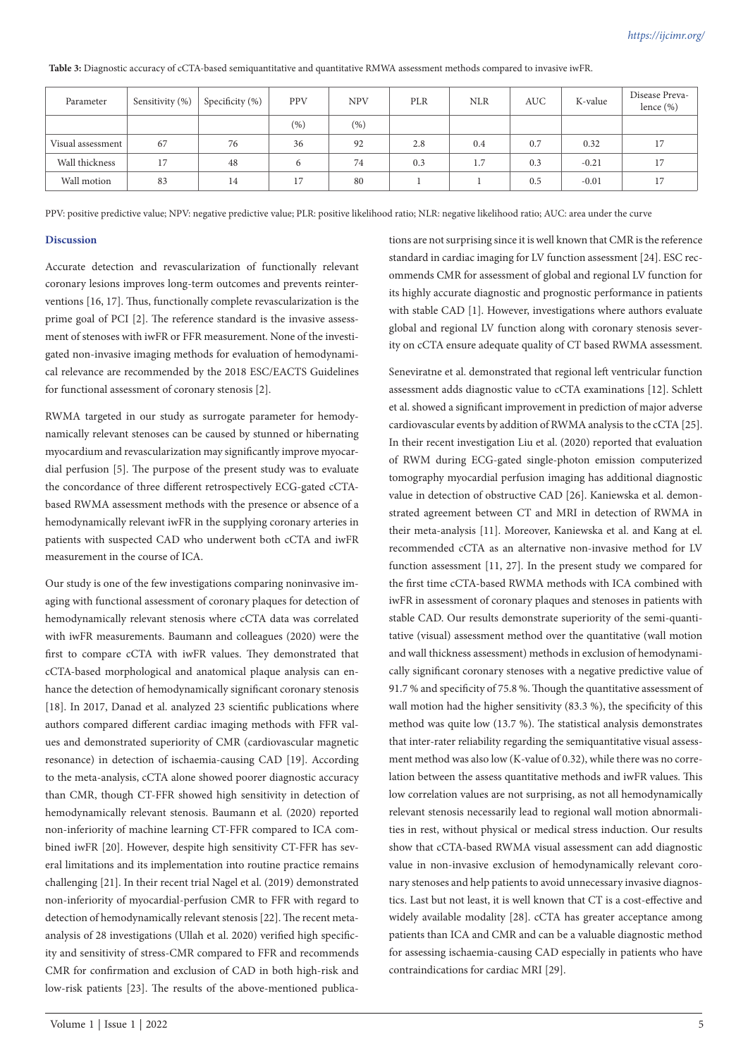| Parameter         | Sensitivity (%) | Specificity (%) | <b>PPV</b> | <b>NPV</b> | PLR | <b>NLR</b> | <b>AUC</b> | K-value | Disease Preva-<br>lence $(\% )$ |
|-------------------|-----------------|-----------------|------------|------------|-----|------------|------------|---------|---------------------------------|
|                   |                 |                 | (% )       | (%)        |     |            |            |         |                                 |
| Visual assessment | 67              | 76              | 36         | 92         | 2.8 | 0.4        | 0.7        | 0.32    | 17                              |
| Wall thickness    | 17              | 48              | 6          | 74         | 0.3 | 1.7        | 0.3        | $-0.21$ | 17                              |
| Wall motion       | 83              | 14              | 17         | 80         |     |            | 0.5        | $-0.01$ | 17                              |

**Table 3:** Diagnostic accuracy of cCTA-based semiquantitative and quantitative RMWA assessment methods compared to invasive iwFR.

PPV: positive predictive value; NPV: negative predictive value; PLR: positive likelihood ratio; NLR: negative likelihood ratio; AUC: area under the curve

#### **Discussion**

Accurate detection and revascularization of functionally relevant coronary lesions improves long-term outcomes and prevents reinterventions [16, 17]. Thus, functionally complete revascularization is the prime goal of PCI [2]. The reference standard is the invasive assessment of stenoses with iwFR or FFR measurement. None of the investigated non-invasive imaging methods for evaluation of hemodynamical relevance are recommended by the 2018 ESC/EACTS Guidelines for functional assessment of coronary stenosis [2].

RWMA targeted in our study as surrogate parameter for hemodynamically relevant stenoses can be caused by stunned or hibernating myocardium and revascularization may significantly improve myocardial perfusion [5]. The purpose of the present study was to evaluate the concordance of three different retrospectively ECG-gated cCTAbased RWMA assessment methods with the presence or absence of a hemodynamically relevant iwFR in the supplying coronary arteries in patients with suspected CAD who underwent both cCTA and iwFR measurement in the course of ICA.

Our study is one of the few investigations comparing noninvasive imaging with functional assessment of coronary plaques for detection of hemodynamically relevant stenosis where cCTA data was correlated with iwFR measurements. Baumann and colleagues (2020) were the first to compare cCTA with iwFR values. They demonstrated that cCTA-based morphological and anatomical plaque analysis can enhance the detection of hemodynamically significant coronary stenosis [18]. In 2017, Danad et al. analyzed 23 scientific publications where authors compared different cardiac imaging methods with FFR values and demonstrated superiority of CMR (cardiovascular magnetic resonance) in detection of ischaemia-causing CAD [19]. According to the meta-analysis, cCTA alone showed poorer diagnostic accuracy than CMR, though CT-FFR showed high sensitivity in detection of hemodynamically relevant stenosis. Baumann et al. (2020) reported non-inferiority of machine learning CT-FFR compared to ICA combined iwFR [20]. However, despite high sensitivity CT-FFR has several limitations and its implementation into routine practice remains challenging [21]. In their recent trial Nagel et al. (2019) demonstrated non-inferiority of myocardial-perfusion CMR to FFR with regard to detection of hemodynamically relevant stenosis [22]. The recent metaanalysis of 28 investigations (Ullah et al. 2020) verified high specificity and sensitivity of stress-CMR compared to FFR and recommends CMR for confirmation and exclusion of CAD in both high-risk and low-risk patients [23]. The results of the above-mentioned publica-

Volume 1 | Issue 1 | 2022 5

tions are not surprising since it is well known that CMR is the reference standard in cardiac imaging for LV function assessment [24]. ESC recommends CMR for assessment of global and regional LV function for its highly accurate diagnostic and prognostic performance in patients with stable CAD [1]. However, investigations where authors evaluate global and regional LV function along with coronary stenosis severity on cCTA ensure adequate quality of CT based RWMA assessment.

Seneviratne et al. demonstrated that regional left ventricular function assessment adds diagnostic value to cCTA examinations [12]. Schlett et al. showed a significant improvement in prediction of major adverse cardiovascular events by addition of RWMA analysis to the cCTA [25]. In their recent investigation Liu et al. (2020) reported that evaluation of RWM during ECG-gated single-photon emission computerized tomography myocardial perfusion imaging has additional diagnostic value in detection of obstructive CAD [26]. Kaniewska et al. demonstrated agreement between CT and MRI in detection of RWMA in their meta-analysis [11]. Moreover, Kaniewska et al. and Kang at el. recommended cCTA as an alternative non-invasive method for LV function assessment [11, 27]. In the present study we compared for the first time cCTA-based RWMA methods with ICA combined with iwFR in assessment of coronary plaques and stenoses in patients with stable CAD. Our results demonstrate superiority of the semi-quantitative (visual) assessment method over the quantitative (wall motion and wall thickness assessment) methods in exclusion of hemodynamically significant coronary stenoses with a negative predictive value of 91.7 % and specificity of 75.8 %. Though the quantitative assessment of wall motion had the higher sensitivity (83.3 %), the specificity of this method was quite low (13.7 %). The statistical analysis demonstrates that inter-rater reliability regarding the semiquantitative visual assessment method was also low (K-value of 0.32), while there was no correlation between the assess quantitative methods and iwFR values. This low correlation values are not surprising, as not all hemodynamically relevant stenosis necessarily lead to regional wall motion abnormalities in rest, without physical or medical stress induction. Our results show that cCTA-based RWMA visual assessment can add diagnostic value in non-invasive exclusion of hemodynamically relevant coronary stenoses and help patients to avoid unnecessary invasive diagnostics. Last but not least, it is well known that CT is a cost-effective and widely available modality [28]. cCTA has greater acceptance among patients than ICA and CMR and can be a valuable diagnostic method for assessing ischaemia-causing CAD especially in patients who have contraindications for cardiac MRI [29].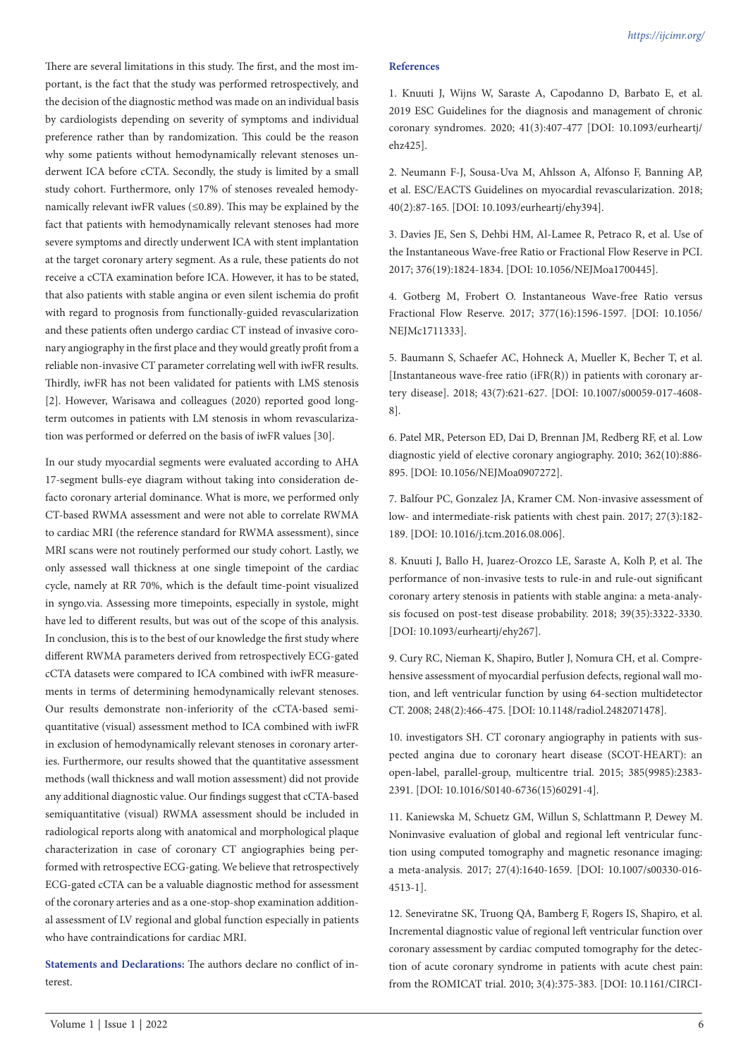There are several limitations in this study. The first, and the most important, is the fact that the study was performed retrospectively, and the decision of the diagnostic method was made on an individual basis by cardiologists depending on severity of symptoms and individual preference rather than by randomization. This could be the reason why some patients without hemodynamically relevant stenoses underwent ICA before cCTA. Secondly, the study is limited by a small study cohort. Furthermore, only 17% of stenoses revealed hemodynamically relevant iwFR values ( $\leq$ 0.89). This may be explained by the fact that patients with hemodynamically relevant stenoses had more severe symptoms and directly underwent ICA with stent implantation at the target coronary artery segment. As a rule, these patients do not receive a cCTA examination before ICA. However, it has to be stated, that also patients with stable angina or even silent ischemia do profit with regard to prognosis from functionally-guided revascularization and these patients often undergo cardiac CT instead of invasive coronary angiography in the first place and they would greatly profit from a reliable non-invasive CT parameter correlating well with iwFR results. Thirdly, iwFR has not been validated for patients with LMS stenosis [2]. However, Warisawa and colleagues (2020) reported good longterm outcomes in patients with LM stenosis in whom revascularization was performed or deferred on the basis of iwFR values [30].

In our study myocardial segments were evaluated according to AHA 17-segment bulls-eye diagram without taking into consideration defacto coronary arterial dominance. What is more, we performed only CT-based RWMA assessment and were not able to correlate RWMA to cardiac MRI (the reference standard for RWMA assessment), since MRI scans were not routinely performed our study cohort. Lastly, we only assessed wall thickness at one single timepoint of the cardiac cycle, namely at RR 70%, which is the default time-point visualized in syngo.via. Assessing more timepoints, especially in systole, might have led to different results, but was out of the scope of this analysis. In conclusion, this is to the best of our knowledge the first study where different RWMA parameters derived from retrospectively ECG-gated cCTA datasets were compared to ICA combined with iwFR measurements in terms of determining hemodynamically relevant stenoses. Our results demonstrate non-inferiority of the cCTA-based semiquantitative (visual) assessment method to ICA combined with iwFR in exclusion of hemodynamically relevant stenoses in coronary arteries. Furthermore, our results showed that the quantitative assessment methods (wall thickness and wall motion assessment) did not provide any additional diagnostic value. Our findings suggest that cCTA-based semiquantitative (visual) RWMA assessment should be included in radiological reports along with anatomical and morphological plaque characterization in case of coronary CT angiographies being performed with retrospective ECG-gating. We believe that retrospectively ECG-gated cCTA can be a valuable diagnostic method for assessment of the coronary arteries and as a one-stop-shop examination additional assessment of LV regional and global function especially in patients who have contraindications for cardiac MRI.

**Statements and Declarations:** The authors declare no conflict of interest.

#### **References**

1. Knuuti J, Wijns W, Saraste A, Capodanno D, Barbato E, et al. 2019 ESC Guidelines for the diagnosis and management of chronic coronary syndromes. 2020; 41(3):407-477 [DOI: 10.1093/eurheartj/ ehz425].

2. Neumann F-J, Sousa-Uva M, Ahlsson A, Alfonso F, Banning AP, et al. ESC/EACTS Guidelines on myocardial revascularization. 2018; 40(2):87-165. [DOI: 10.1093/eurheartj/ehy394].

3. Davies JE, Sen S, Dehbi HM, Al-Lamee R, Petraco R, et al. Use of the Instantaneous Wave-free Ratio or Fractional Flow Reserve in PCI. 2017; 376(19):1824-1834. [DOI: 10.1056/NEJMoa1700445].

4. Gotberg M, Frobert O. Instantaneous Wave-free Ratio versus Fractional Flow Reserve. 2017; 377(16):1596-1597. [DOI: 10.1056/ NEJMc1711333].

5. Baumann S, Schaefer AC, Hohneck A, Mueller K, Becher T, et al. [Instantaneous wave-free ratio ( $iFR(R)$ ) in patients with coronary artery disease]. 2018; 43(7):621-627. [DOI: 10.1007/s00059-017-4608- 8].

6. Patel MR, Peterson ED, Dai D, Brennan JM, Redberg RF, et al. Low diagnostic yield of elective coronary angiography. 2010; 362(10):886- 895. [DOI: 10.1056/NEJMoa0907272].

7. Balfour PC, Gonzalez JA, Kramer CM. Non-invasive assessment of low- and intermediate-risk patients with chest pain. 2017; 27(3):182- 189. [DOI: 10.1016/j.tcm.2016.08.006].

8. Knuuti J, Ballo H, Juarez-Orozco LE, Saraste A, Kolh P, et al. The performance of non-invasive tests to rule-in and rule-out significant coronary artery stenosis in patients with stable angina: a meta-analysis focused on post-test disease probability. 2018; 39(35):3322-3330. [DOI: 10.1093/eurheartj/ehy267].

9. Cury RC, Nieman K, Shapiro, Butler J, Nomura CH, et al. Comprehensive assessment of myocardial perfusion defects, regional wall motion, and left ventricular function by using 64-section multidetector CT. 2008; 248(2):466-475. [DOI: 10.1148/radiol.2482071478].

10. investigators SH. CT coronary angiography in patients with suspected angina due to coronary heart disease (SCOT-HEART): an open-label, parallel-group, multicentre trial. 2015; 385(9985):2383- 2391. [DOI: 10.1016/S0140-6736(15)60291-4].

11. Kaniewska M, Schuetz GM, Willun S, Schlattmann P, Dewey M. Noninvasive evaluation of global and regional left ventricular function using computed tomography and magnetic resonance imaging: a meta-analysis. 2017; 27(4):1640-1659. [DOI: 10.1007/s00330-016- 4513-1].

12. Seneviratne SK, Truong QA, Bamberg F, Rogers IS, Shapiro, et al. Incremental diagnostic value of regional left ventricular function over coronary assessment by cardiac computed tomography for the detection of acute coronary syndrome in patients with acute chest pain: from the ROMICAT trial. 2010; 3(4):375-383. [DOI: 10.1161/CIRCI-